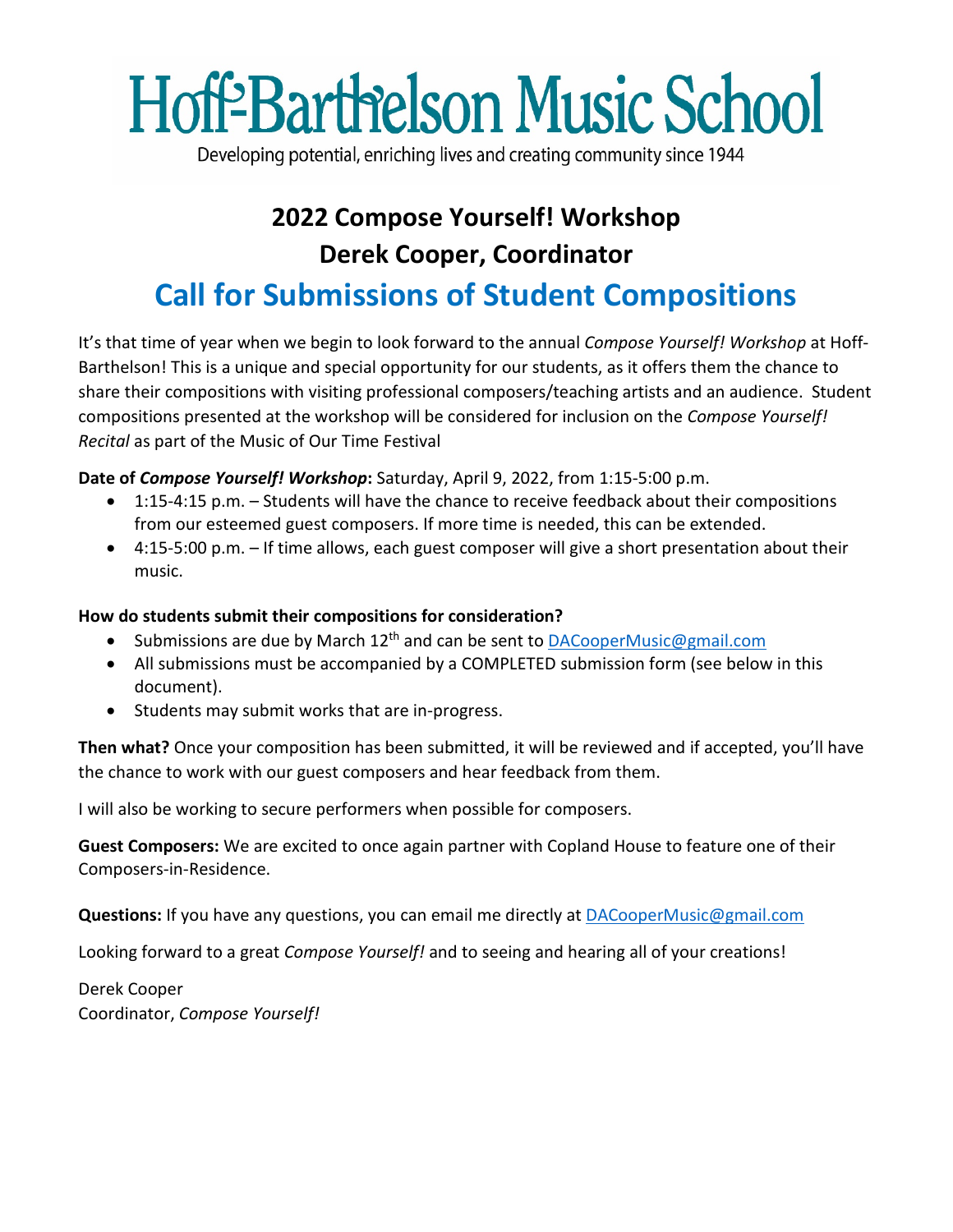## **Hoff-Barthelson Music School**

Developing potential, enriching lives and creating community since 1944

## **2022 Compose Yourself! Workshop Derek Cooper, Coordinator Call for Submissions of Student Compositions**

It's that time of year when we begin to look forward to the annual *Compose Yourself! Workshop* at Hoff-Barthelson! This is a unique and special opportunity for our students, as it offers them the chance to share their compositions with visiting professional composers/teaching artists and an audience. Student compositions presented at the workshop will be considered for inclusion on the *Compose Yourself! Recital* as part of the Music of Our Time Festival

**Date of** *Compose Yourself! Workshop***:** Saturday, April 9, 2022, from 1:15-5:00 p.m.

- 1:15-4:15 p.m. Students will have the chance to receive feedback about their compositions from our esteemed guest composers. If more time is needed, this can be extended.
- 4:15-5:00 p.m. If time allows, each guest composer will give a short presentation about their music.

## **How do students submit their compositions for consideration?**

- Submissions are due by March 12<sup>th</sup> and can be sent to [DACooperMusic@gmail.com](mailto:DACooperMusic@gmail.com)
- All submissions must be accompanied by a COMPLETED submission form (see below in this document).
- Students may submit works that are in-progress.

**Then what?** Once your composition has been submitted, it will be reviewed and if accepted, you'll have the chance to work with our guest composers and hear feedback from them.

I will also be working to secure performers when possible for composers.

**Guest Composers:** We are excited to once again partner with Copland House to feature one of their Composers-in-Residence.

**Questions:** If you have any questions, you can email me directly at [DACooperMusic@gmail.com](mailto:DACooperMusic@gmail.com)

Looking forward to a great *Compose Yourself!* and to seeing and hearing all of your creations!

Derek Cooper Coordinator, *Compose Yourself!*